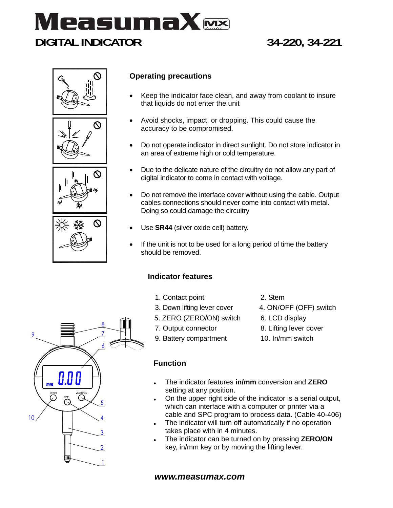







# **Operating precautions**

- Keep the indicator face clean, and away from coolant to insure that liquids do not enter the unit
- Avoid shocks, impact, or dropping. This could cause the accuracy to be compromised.
- Do not operate indicator in direct sunlight. Do not store indicator in an area of extreme high or cold temperature.
- Due to the delicate nature of the circuitry do not allow any part of digital indicator to come in contact with voltage.
- Do not remove the interface cover without using the cable. Output cables connections should never come into contact with metal. Doing so could damage the circuitry
- Use **SR44** (silver oxide cell) battery.
- If the unit is not to be used for a long period of time the battery should be removed.

## **Indicator features**

- 1. Contact point
- 3. Down lifting lever cover
- 5. ZERO (ZERO/ON) switch
- 7. Output connector
- 9. Battery compartment
- 2. Stem
- 4. ON/OFF (OFF) switch
- 6. LCD display
- 8. Lifting lever cover
- 10. In/mm switch

## **Function**

- The indicator features **in/mm** conversion and **ZERO** setting at any position.
- On the upper right side of the indicator is a serial output, which can interface with a computer or printer via a cable and SPC program to process data. (Cable 40-406)
- . The indicator will turn off automatically if no operation takes place with in 4 minutes.
- The indicator can be turned on by pressing **ZERO/ON** key, in/mm key or by moving the lifting lever.

### *www.measumax.com*